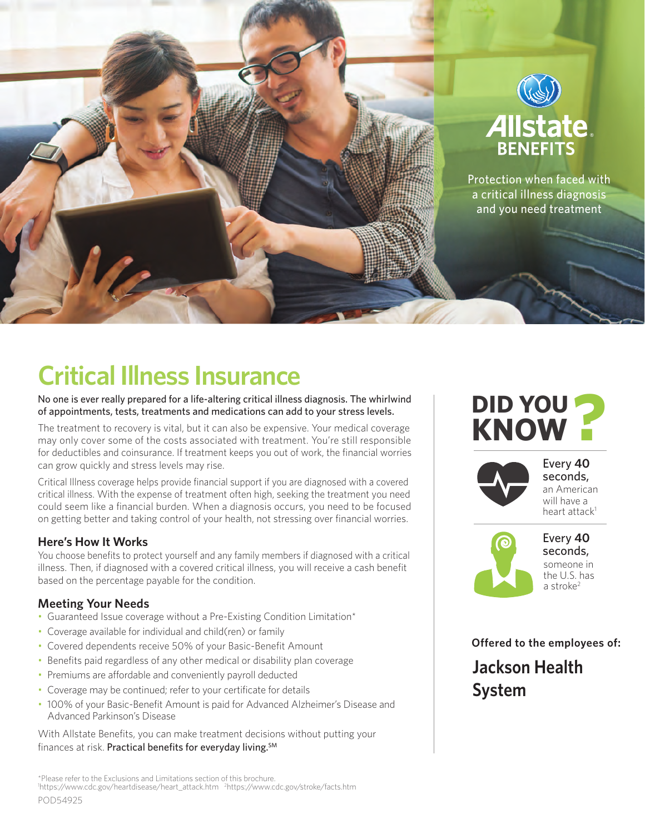

# **Critical Illness Insurance**

No one is ever really prepared for a life-altering critical illness diagnosis. The whirlwind of appointments, tests, treatments and medications can add to your stress levels.

The treatment to recovery is vital, but it can also be expensive. Your medical coverage may only cover some of the costs associated with treatment. You're still responsible for deductibles and coinsurance. If treatment keeps you out of work, the financial worries can grow quickly and stress levels may rise.

Critical Illness coverage helps provide financial support if you are diagnosed with a covered critical illness. With the expense of treatment often high, seeking the treatment you need could seem like a financial burden. When a diagnosis occurs, you need to be focused on getting better and taking control of your health, not stressing over financial worries.

### **Here's How It Works**

You choose benefits to protect yourself and any family members if diagnosed with a critical illness. Then, if diagnosed with a covered critical illness, you will receive a cash benefit based on the percentage payable for the condition.

### **Meeting Your Needs**

- Guaranteed Issue coverage without a Pre-Existing Condition Limitation\*
- Coverage available for individual and child(ren) or family
- Covered dependents receive 50% of your Basic-Benefit Amount
- Benefits paid regardless of any other medical or disability plan coverage
- Premiums are affordable and conveniently payroll deducted
- Coverage may be continued; refer to your certificate for details
- 100% of your Basic-Benefit Amount is paid for Advanced Alzheimer's Disease and Advanced Parkinson's Disease

With Allstate Benefits, you can make treatment decisions without putting your finances at risk. Practical benefits for everyday living.<sup>SM</sup>

\*Please refer to the Exclusions and Limitations section of this brochure. <sup>1</sup>https://www.cdc.gov/heartdisease/heart\_attack.htm <sup>2</sup>https://www.cdc.gov/stroke/facts.htm

## **DID YOU KNOW**



Every **40**  seconds, an American will have a heart attack<sup>1</sup>



Every **40**  seconds, someone in the U.S. has a stroke<sup>2</sup>

**Offered to the employees of:**

**Jackson Health System**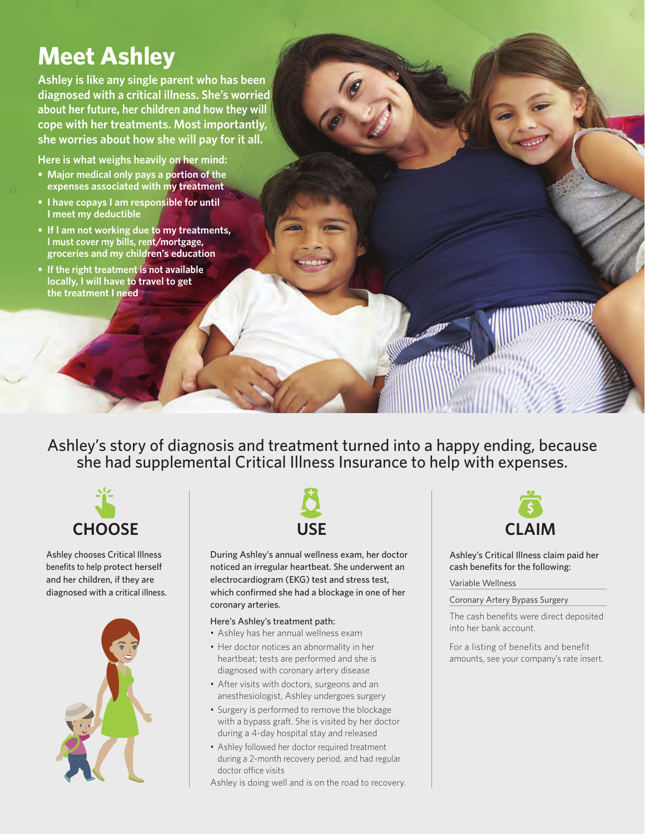## **Meet Ashley**

**Ashley is like any single parent who has been diagnosed with a critical illness. She's worried about her future, her children and how they will cope with her treatments. Most importantly, she worries about how she will pay for it all.**

**Here is what weighs heavily on her mind:**

- **Major medical only pays a portion of the expenses associated with my treatment**
- **• I have copays I am responsible for until I meet my deductible**
- **• If I am not working due to my treatments, I must cover my bills, rent/mortgage, groceries and my children's education**
- **• If the right treatment is not available locally, I will have to travel to get the treatment I need**

Ashley's story of diagnosis and treatment turned into a happy ending, because she had supplemental Critical Illness Insurance to help with expenses.



Ashley chooses Critical Illness benefits to help protect herself and her children, if they are diagnosed with a critical illness.





During Ashley's annual wellness exam, her doctor noticed an irregular heartbeat. She underwent an electrocardiogram (EKG) test and stress test, which confirmed she had a blockage in one of her coronary arteries.

#### Here's Ashley's treatment path:

- Ashley has her annual wellness exam
- Her doctor notices an abnormality in her heartbeat; tests are performed and she is diagnosed with coronary artery disease
- After visits with doctors, surgeons and an anesthesiologist, Ashley undergoes surgery
- Surgery is performed to remove the blockage with a bypass graft. She is visited by her doctor during a 4-day hospital stay and released
- Ashley followed her doctor required treatment during a 2-month recovery period, and had regular doctor office visits

Ashley is doing well and is on the road to recovery.



Ashley's Critical Illness claim paid her cash benefits for the following:

#### Variable Wellness

#### Coronary Artery Bypass Surgery

The cash benefits were direct deposited into her bank account.

For a listing of benefits and benefit amounts, see your company's rate insert.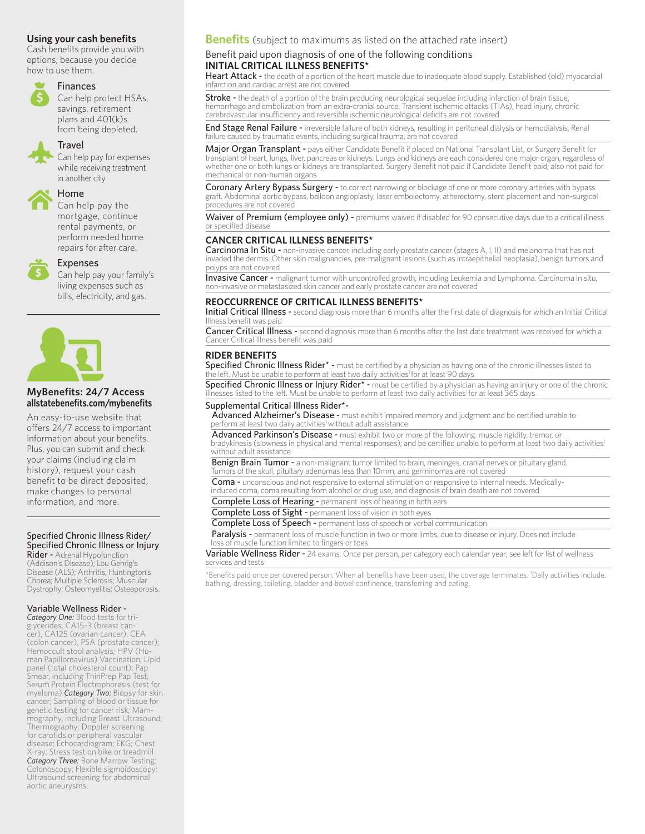#### **Using your cash benefits**

Cash benefits provide you with options, because you decide how to use them.



#### Finances

 Can help protect HSAs, savings, retirement plans and 401(k)s from being depleted.

#### **Travel**

 Can help pay for expenses while receiving treatment in another city.



#### Home

 Can help pay the mortgage, continue rental payments, or perform needed home repairs for after care.



#### Expenses

Can help pay your family's living expenses such as bills, electricity, and gas.



#### **MyBenefits: 24/7 Access allstatebenefi ts.com/mybenefi ts**

An easy-to-use website that offers 24/7 access to important information about your benefits. Plus, you can submit and check your claims (including claim history), request your cash benefit to be direct deposited, make changes to personal information, and more.

#### Specified Chronic Illness Rider/ Specified Chronic Illness or Injury

Rider - Adrenal Hypofunction (Addison's Disease); Lou Gehrig's Disease (ALS); Arthritis; Huntington's Chorea; Multiple Sclerosis; Muscular Dystrophy; Osteomyelitis; Osteoporosis.

#### Variable Wellness Rider -

*Category One:* Blood tests for triglycerides, CA15-3 (breast cancer), CA125 (ovarian cancer), CEA (colon cancer), PSA (prostate cancer); Hemoccult stool analysis; HPV (Human Papillomavirus) Vaccination; Lipid panel (total cholesterol count); Pap Smear, including ThinPrep Pap Test; Serum Protein Electrophoresis (test for myeloma) *Category Two:* Biopsy for skin cancer; Sampling of blood or tissue for genetic testing for cancer risk; Mammography, including Breast Ultrasound; Thermography; Doppler screening for carotids or peripheral vascular disease; Echocardiogram; EKG; Chest X-ray; Stress test on bike or treadmill *Category Three:* Bone Marrow Testing; Colonoscopy; Flexible sigmoidoscopy; Ultrasound screening for abdominal aortic aneurysms.

### **Benefits** (subject to maximums as listed on the attached rate insert)

#### Benefit paid upon diagnosis of one of the following conditions **INITIAL CRITICAL ILLNESS BENEFITS\***

Heart Attack - the death of a portion of the heart muscle due to inadequate blood supply. Established (old) myocardial infarction and cardiac arrest are not covered

Stroke - the death of a portion of the brain producing neurological sequelae including infarction of brain tissue,<br>hemorrhage and embolization from an extra-cranial source. Transient ischemic attacks (TIAs), head injury, c cerebrovascular insufficiency and reversible ischemic neurological deficits are not covered

End Stage Renal Failure - irreversible failure of both kidneys, resulting in peritoneal dialysis or hemodialysis. Renal failure caused by traumatic events, including surgical trauma, are not covered

Major Organ Transplant - pays either Candidate Benefit if placed on National Transplant List, or Surgery Benefit for transplant of heart, lungs, liver, pancreas or kidneys. Lungs and kidneys are each considered one major organ, regardless of whether one or both lungs or kidneys are transplanted. Surgery Benefit not paid if Candidate Benefit paid; also not paid for mechanical or non-human organs

Coronary Artery Bypass Surgery - to correct narrowing or blockage of one or more coronary arteries with bypass graft. Abdominal aortic bypass, balloon angioplasty, laser embolectomy, atherectomy, stent placement and non-surgical procedures are not covered

Waiver of Premium (employee only) - premiums waived if disabled for 90 consecutive days due to a critical illness or specified disease

#### **CANCER CRITICAL ILLNESS BENEFITS\***

Carcinoma In Situ - non-invasive cancer, including early prostate cancer (stages A, I, II) and melanoma that has not invaded the dermis. Other skin malignancies, pre-malignant lesions (such as intraepithelial neoplasia), benign tumors and polyps are not covered

Invasive Cancer - malignant tumor with uncontrolled growth, including Leukemia and Lymphoma. Carcinoma in situ, non-invasive or metastasized skin cancer and early prostate cancer are not covered

#### **REOCCURRENCE OF CRITICAL ILLNESS BENEFITS\***

Initial Critical Illness - second diagnosis more than 6 months after the first date of diagnosis for which an Initial Critical Illness benefit was paid

Cancer Critical Illness - second diagnosis more than 6 months after the last date treatment was received for which a Cancer Critical Illness benefit was paid

#### **RIDER BENEFITS**

**Specified Chronic Illness Rider\* -** must be certified by a physician as having one of the chronic illnesses listed to<br>the left. Must be unable to perform at least two daily activities<sup>1</sup> for at least 90 days

Specified Chronic Illness or Injury Rider\* - must be certified by a physician as having an injury or one of the chronic illnesses listed to the left. Must be unable to perform at least two daily activities<sup>1</sup> for at least 365 days

#### Supplemental Critical Illness Rider\*-

Advanced Alzheimer's Disease - must exhibit impaired memory and judgment and be certified unable to perform at least two daily activities<sup>1</sup> without adult assistance

Advanced Parkinson's Disease - must exhibit two or more of the following: muscle rigidity, tremor, or bradykinesis (slowness in physical and mental responses); and be certified unable to perform at least two daily activities1 without adult assistance

Benign Brain Tumor - a non-malignant tumor limited to brain, meninges, cranial nerves or pituitary gland. Tumors of the skull, pituitary adenomas less than 10mm, and germinomas are not covered

Coma - unconscious and not responsive to external stimulation or responsive to internal needs. Medicallyinduced coma, coma resulting from alcohol or drug use, and diagnosis of brain death are not covered

Complete Loss of Hearing - permanent loss of hearing in both ears

Complete Loss of Sight - permanent loss of vision in both eyes

Complete Loss of Speech - permanent loss of speech or verbal communication

Paralysis - permanent loss of muscle function in two or more limbs, due to disease or injury. Does not include drary SIS Permanent loss commences or toes

Variable Wellness Rider - 24 exams. Once per person, per category each calendar year; see left for list of wellness services and tests

\*Benefits paid once per covered person. When all benefits have been used, the coverage terminates. 1 Daily activities include: bathing, dressing, toileting, bladder and bowel continence, transferring and eating.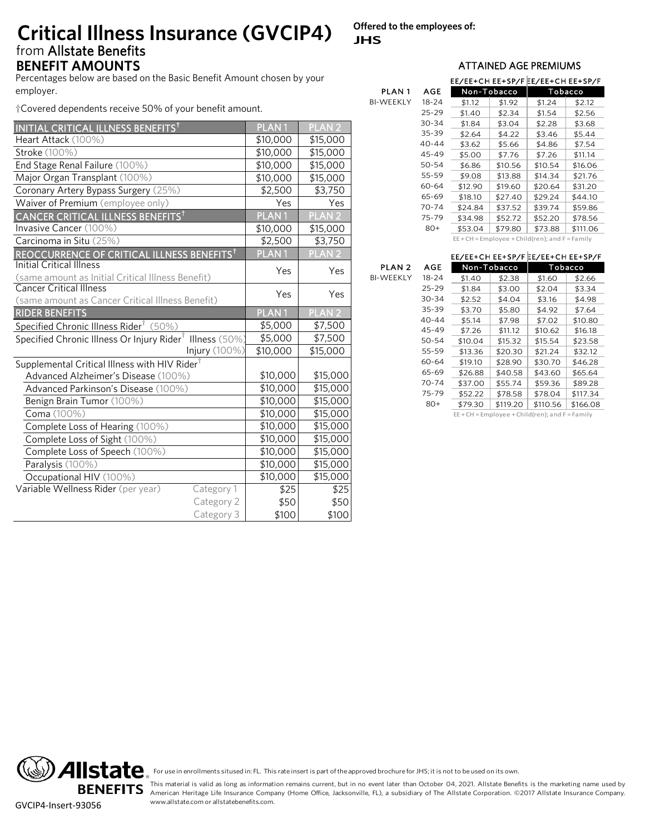## from Allstate Benefits **BENEFIT AMOUNTS BENEFIT AMOUNTS Critical Illness Insurance (GVCIP4)**

Percentages below are based on the Basic Benefit Amount chosen by your employer.

†Covered dependents receive 50% of your benefit amount.

|                                                        | PLAN <sub>1</sub>                                                                     | <b>PLAN2</b>                                                      |
|--------------------------------------------------------|---------------------------------------------------------------------------------------|-------------------------------------------------------------------|
|                                                        | \$10,000                                                                              | \$15,000                                                          |
|                                                        | \$10,000                                                                              | \$15,000                                                          |
|                                                        | \$10,000                                                                              | \$15,000                                                          |
|                                                        | \$10,000                                                                              | \$15,000                                                          |
|                                                        | \$2,500                                                                               | \$3,750                                                           |
|                                                        | Yes                                                                                   | Yes                                                               |
|                                                        | PLAN <sub>1</sub>                                                                     | <b>PLAN2</b>                                                      |
|                                                        | \$10,000                                                                              | \$15,000                                                          |
|                                                        | \$2,500                                                                               | \$3,750                                                           |
| REOCCURRENCE OF CRITICAL ILLNESS BENEFITS <sup>†</sup> | <b>PLAN1</b>                                                                          | <b>PLAN 2</b>                                                     |
|                                                        |                                                                                       | Yes                                                               |
|                                                        |                                                                                       |                                                                   |
|                                                        |                                                                                       | Yes                                                               |
|                                                        |                                                                                       |                                                                   |
|                                                        |                                                                                       | PLAN <sub>2</sub>                                                 |
|                                                        |                                                                                       | \$7,500                                                           |
|                                                        |                                                                                       | \$7,500                                                           |
|                                                        | \$10,000                                                                              | \$15,000                                                          |
|                                                        |                                                                                       |                                                                   |
|                                                        |                                                                                       | \$15,000                                                          |
|                                                        | \$10,000                                                                              | \$15,000                                                          |
|                                                        | \$10,000                                                                              | \$15,000                                                          |
|                                                        | \$10,000                                                                              | \$15,000                                                          |
|                                                        | \$10,000                                                                              | \$15,000                                                          |
|                                                        | \$10,000                                                                              | \$15,000                                                          |
|                                                        | \$10,000                                                                              | \$15,000                                                          |
|                                                        | \$10,000                                                                              | \$15,000                                                          |
|                                                        | \$10,000                                                                              | \$15,000                                                          |
| Category 1                                             | \$25                                                                                  | \$25                                                              |
| Category 2                                             | \$50                                                                                  | \$50                                                              |
| Category 3                                             | \$100                                                                                 | \$100                                                             |
|                                                        | Specified Chronic Illness Or Injury Rider <sup>†</sup> Illness (50%)<br>Injury (100%) | Yes<br>Yes<br>PLAN <sub>1</sub><br>\$5,000<br>\$5,000<br>\$10,000 |

**Offered to the employees of: JHS**

BI-WEEKLY

|                   |           | EE/EE+CH EE+SP/F EE/EE+CH EE+SP/F |             |         |          |
|-------------------|-----------|-----------------------------------|-------------|---------|----------|
| PLAN <sub>1</sub> | AGE       |                                   | Non-Tobacco | Tobacco |          |
| BI-WEEKLY         | 18-24     | \$1.12                            | \$1.92      | \$1.24  | \$2.12   |
|                   | 25-29     | \$1.40                            | \$2.34      | \$1.54  | \$2.56   |
|                   | 30-34     | \$1.84                            | \$3.04      | \$2.28  | \$3.68   |
|                   | 35-39     | \$2.64                            | \$4.22      | \$3.46  | \$5.44   |
|                   | $40 - 44$ | \$3.62                            | \$5.66      | \$4.86  | \$7.54   |
|                   | 45-49     | \$5.00                            | \$7.76      | \$7.26  | \$11.14  |
|                   | 50-54     | \$6.86                            | \$10.56     | \$10.54 | \$16.06  |
|                   | 55-59     | \$9.08                            | \$13.88     | \$14.34 | \$21.76  |
|                   | 60-64     | \$12.90                           | \$19.60     | \$20.64 | \$31.20  |
|                   | 65-69     | \$18.10                           | \$27.40     | \$29.24 | \$44.10  |
|                   | 70-74     | \$24.84                           | \$37.52     | \$39.74 | \$59.86  |
|                   | 75-79     | \$34.98                           | \$52.72     | \$52.20 | \$78.56  |
|                   | 80+       | \$53.04                           | \$79.80     | \$73.88 | \$111.06 |
|                   |           |                                   |             |         |          |

EE + CH = Employee + Child(ren); and F = Family

## EE/EE+CH EE+SP/F EE/EE+CH EE+SP/F EE+CH = Employee + Child(ren); and F = Family<br>EE/EE+CH EE+SP/F EE/EE+CH EE+SP/F<br>Non-Tobacco<br>Tobacco

|        |           | ヒヒ/ヒヒ+(H ヒヒ+১٢/ト Ŀヒ/ヒヒ+(H ヒヒ+১٢/ト |             |                                                     |          |
|--------|-----------|-----------------------------------|-------------|-----------------------------------------------------|----------|
| PLAN 2 | AGE       |                                   | Non-Tobacco |                                                     | Tobacco  |
| WEEKLY | 18-24     | \$1.40                            | \$2.38      | \$1.60                                              | \$2.66   |
|        | 25-29     | \$1.84                            | \$3.00      | \$2.04                                              | \$3.34   |
|        | $30 - 34$ | \$2.52                            | \$4.04      | \$3.16                                              | \$4.98   |
|        | 35-39     | \$3.70                            | \$5.80      | \$4.92                                              | \$7.64   |
|        | $40 - 44$ | \$5.14                            | \$7.98      | \$7.02                                              | \$10.80  |
|        | 45-49     | \$7.26                            | \$11.12     | \$10.62                                             | \$16.18  |
|        | 50-54     | \$10.04                           | \$15.32     | \$15.54                                             | \$23.58  |
|        | 55-59     | \$13.36                           | \$20.30     | \$21.24                                             | \$32.12  |
|        | 60-64     | \$19.10                           | \$28.90     | \$30.70                                             | \$46.28  |
|        | 65-69     | \$26.88                           | \$40.58     | \$43.60                                             | \$65.64  |
|        | 70-74     | \$37.00                           | \$55.74     | \$59.36                                             | \$89.28  |
|        | 75-79     | \$52.22                           | \$78.58     | \$78.04                                             | \$117.34 |
|        | $80+$     | \$79.30                           | \$119.20    | \$110.56                                            | \$166.08 |
|        |           |                                   |             | $EE + CH = Employee + Child(ren);$ and $F = Family$ |          |
|        |           |                                   |             |                                                     |          |
|        |           |                                   |             |                                                     |          |

**BENEFITS** GVCIP4-Insert-93056

For use in enrollments sitused in: FL. This rate insert is part of the approved brochure for JHS; it is not to be used on its own.<br>This material is valid as long as information remains current, but in no event later than O For use in enrollments sitused in: FL. This rate insert is part of the approved brochure for JHS; it is not to be used on its own.<br>This material is valid as long as information remains current, but in no event later than O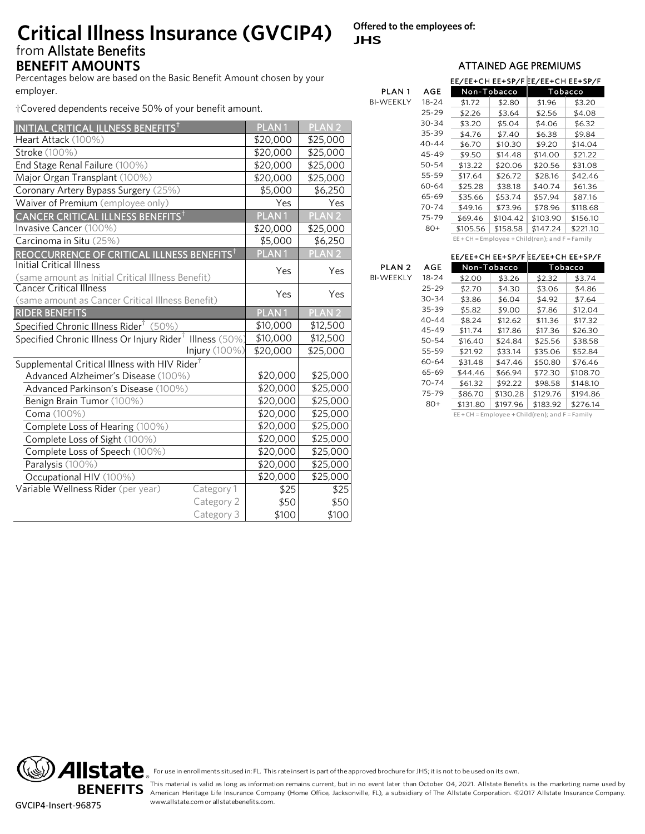## from Allstate Benefits **BENEFIT AMOUNTS BENEFIT AMOUNTS Critical Illness Insurance (GVCIP4)**

**Offered to the employees of: JHS**

BI-WEEKLY

BI-WEEKLY

Percentages below are based on the Basic Benefit Amount chosen by your employer.

†Covered dependents receive 50% of your benefit amount.

|                                                                           | PLAN <sub>1</sub>                                                                                                         | <b>PLAN2</b>                                                                                         |  |  |
|---------------------------------------------------------------------------|---------------------------------------------------------------------------------------------------------------------------|------------------------------------------------------------------------------------------------------|--|--|
|                                                                           | \$20,000                                                                                                                  | \$25,000                                                                                             |  |  |
|                                                                           | \$20,000                                                                                                                  | \$25,000                                                                                             |  |  |
|                                                                           | \$20,000                                                                                                                  | \$25,000                                                                                             |  |  |
|                                                                           | \$20,000                                                                                                                  | \$25,000                                                                                             |  |  |
|                                                                           | \$5,000                                                                                                                   | \$6,250                                                                                              |  |  |
|                                                                           | Yes                                                                                                                       | Yes                                                                                                  |  |  |
|                                                                           |                                                                                                                           | PLAN <sub>2</sub>                                                                                    |  |  |
|                                                                           | \$20,000                                                                                                                  | \$25,000                                                                                             |  |  |
|                                                                           | \$5,000                                                                                                                   | \$6,250                                                                                              |  |  |
| REOCCURRENCE OF CRITICAL ILLNESS BENEFITS <sup>†</sup>                    | PLAN <sub>1</sub>                                                                                                         | <b>PLAN2</b>                                                                                         |  |  |
|                                                                           |                                                                                                                           | Yes                                                                                                  |  |  |
|                                                                           |                                                                                                                           |                                                                                                      |  |  |
|                                                                           |                                                                                                                           | Yes                                                                                                  |  |  |
| (same amount as Cancer Critical Illness Benefit)<br><b>RIDER BENEFITS</b> |                                                                                                                           |                                                                                                      |  |  |
|                                                                           |                                                                                                                           | <b>PLAN2</b>                                                                                         |  |  |
|                                                                           | \$10,000                                                                                                                  | \$12,500                                                                                             |  |  |
|                                                                           |                                                                                                                           | \$12,500                                                                                             |  |  |
| Injury (100%)                                                             |                                                                                                                           | \$25,000                                                                                             |  |  |
| Supplemental Critical Illness with HIV Rider <sup>†</sup>                 |                                                                                                                           |                                                                                                      |  |  |
|                                                                           |                                                                                                                           | \$25,000                                                                                             |  |  |
|                                                                           |                                                                                                                           | \$25,000                                                                                             |  |  |
|                                                                           | \$20,000                                                                                                                  | \$25,000                                                                                             |  |  |
|                                                                           | \$20,000                                                                                                                  | \$25,000                                                                                             |  |  |
|                                                                           | \$20,000                                                                                                                  | \$25,000                                                                                             |  |  |
|                                                                           | \$20,000                                                                                                                  | \$25,000                                                                                             |  |  |
|                                                                           | \$20,000                                                                                                                  | \$25,000                                                                                             |  |  |
|                                                                           | \$20,000                                                                                                                  | \$25,000                                                                                             |  |  |
|                                                                           | \$20,000                                                                                                                  | \$25,000                                                                                             |  |  |
| Category 1                                                                | \$25                                                                                                                      | \$25                                                                                                 |  |  |
| Category 2                                                                | \$50                                                                                                                      | \$50                                                                                                 |  |  |
| Category 3                                                                | \$100                                                                                                                     | \$100                                                                                                |  |  |
|                                                                           | (same amount as Initial Critical Illness Benefit)<br>Specified Chronic Illness Or Injury Rider <sup>†</sup> Illness (50%) | PLAN <sub>1</sub><br>Yes<br>Yes<br>PLAN <sub>1</sub><br>\$10,000<br>\$20,000<br>\$20,000<br>\$20,000 |  |  |

|              |           | EE/EE+CH EE+SP/F EE/EE+CH EE+SP/F |             |          |          |
|--------------|-----------|-----------------------------------|-------------|----------|----------|
| <b>PLAN1</b> | AGE       |                                   | Non-Tobacco | Tobacco  |          |
| WEEKLY       | 18-24     | \$1.72                            | \$2.80      | \$1.96   | \$3.20   |
|              | $25 - 29$ | \$2.26                            | \$3.64      | \$2.56   | \$4.08   |
|              | $30 - 34$ | \$3.20                            | \$5.04      | \$4.06   | \$6.32   |
|              | 35-39     | \$4.76                            | \$7.40      | \$6.38   | \$9.84   |
|              | $40 - 44$ | \$6.70                            | \$10.30     | \$9.20   | \$14.04  |
|              | 45-49     | \$9.50                            | \$14.48     | \$14.00  | \$21.22  |
|              | 50-54     | \$13.22                           | \$20.06     | \$20.56  | \$31.08  |
|              | 55-59     | \$17.64                           | \$26.72     | \$28.16  | \$42.46  |
|              | 60-64     | \$25.28                           | \$38.18     | \$40.74  | \$61.36  |
|              | 65-69     | \$35.66                           | \$53.74     | \$57.94  | \$87.16  |
|              | 70-74     | \$49.16                           | \$73.96     | \$78.96  | \$118.68 |
|              | 75-79     | \$69.46                           | \$104.42    | \$103.90 | \$156.10 |
|              | 80+       | \$105.56                          | \$158.58    | \$147.24 | \$221.10 |

EE + CH = Employee + Child(ren); and F = Family

## EE/EE+CH EE+SP/F EE/EE+CH EE+SP/F EE+CH = Employee + Child(ren); and F = Family<br>EE/EE+CH EE+SP/F EE/EE+CH EE+SP/F<br>Non-Tobacco<br>Tobacco

|        |           | ヒヒ/ヒヒ+(H ヒヒ+১٢/ト Ŀヒ/ヒヒ+(H ヒヒ+১٢/ト |             |                                                     |          |
|--------|-----------|-----------------------------------|-------------|-----------------------------------------------------|----------|
| PLAN 2 | AGE       |                                   | Non-Tobacco | Tobacco                                             |          |
| WEEKLY | $18 - 24$ | \$2.00                            | \$3.26      | \$2.32                                              | \$3.74   |
|        | 25-29     | \$2.70                            | \$4.30      | \$3.06                                              | \$4.86   |
|        | $30 - 34$ | \$3.86                            | \$6.04      | \$4.92                                              | \$7.64   |
|        | 35-39     | \$5.82                            | \$9.00      | \$7.86                                              | \$12.04  |
|        | 40-44     | \$8.24                            | \$12.62     | \$11.36                                             | \$17.32  |
|        | 45-49     | \$11.74                           | \$17.86     | \$17.36                                             | \$26.30  |
|        | 50-54     | \$16.40                           | \$24.84     | \$25.56                                             | \$38.58  |
|        | 55-59     | \$21.92                           | \$33.14     | \$35.06                                             | \$52.84  |
|        | 60-64     | \$31.48                           | \$47.46     | \$50.80                                             | \$76.46  |
|        | 65-69     | \$44.46                           | \$66.94     | \$72.30                                             | \$108.70 |
|        | 70-74     | \$61.32                           | \$92.22     | \$98.58                                             | \$148.10 |
|        | 75-79     | \$86.70                           | \$130.28    | \$129.76                                            | \$194.86 |
|        | $80+$     | \$131.80                          | \$197.96    | \$183.92                                            | \$276.14 |
|        |           |                                   |             | $EE + CH = Employee + Child(ren);$ and $F = Family$ |          |
|        |           |                                   |             |                                                     |          |
|        |           |                                   |             |                                                     |          |

**BENEFITS** GVCIP4-Insert-96875

For use in enrollments sitused in: FL. This rate insert is part of the approved brochure for JHS; it is not to be used on its own.<br>This material is valid as long as information remains current, but in no event later than O For use in enrollments sitused in: FL. This rate insert is part of the approved brochure for JHS; it is not to be used on its own.<br>This material is valid as long as information remains current, but in no event later than O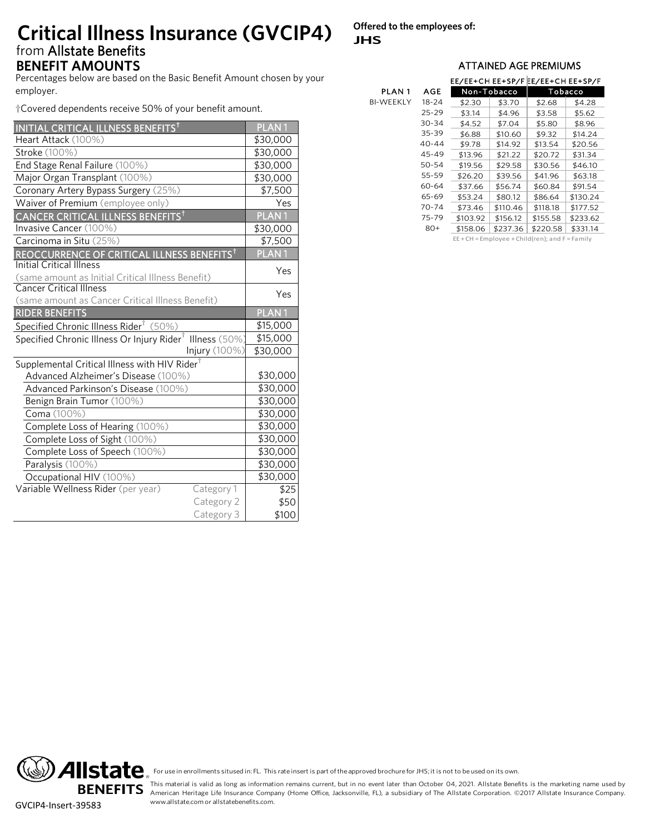## from Allstate Benefits **BENEFIT AMOUNTS BENEFIT AMOUNTS Critical Illness Insurance (GVCIP4)**

**Offered to the employees of: JHS**

Percentages below are based on the Basic Benefit Amount chosen by your employer.

†Covered dependents receive 50% of your benefit amount.

| INITIAL CRITICAL ILLNESS BENEFITS <sup>†</sup>                       | PLAN <sub>1</sub> |
|----------------------------------------------------------------------|-------------------|
| Heart Attack (100%)                                                  | \$30,000          |
| Stroke (100%)                                                        | \$30,000          |
| End Stage Renal Failure (100%)                                       | \$30,000          |
| Major Organ Transplant (100%)                                        | \$30,000          |
| Coronary Artery Bypass Surgery (25%)                                 | \$7,500           |
| Waiver of Premium (employee only)                                    | Yes               |
| CANCER CRITICAL ILLNESS BENEFITS <sup>t</sup>                        | PLAN <sub>1</sub> |
| Invasive Cancer (100%)                                               | \$30,000          |
| Carcinoma in Situ (25%)                                              | \$7,500           |
| REOCCURRENCE OF CRITICAL ILLNESS BENEFITS <sup>†</sup>               | <b>PLAN1</b>      |
| <b>Initial Critical Illness</b>                                      | Yes               |
| (same amount as Initial Critical Illness Benefit)                    |                   |
| <b>Cancer Critical Illness</b>                                       | Yes               |
| (same amount as Cancer Critical Illness Benefit)                     |                   |
| <b>RIDER BENEFITS</b>                                                | PLAN <sub>1</sub> |
| Specified Chronic Illness Rider <sup>†</sup> (50%)                   | \$15,000          |
| Specified Chronic Illness Or Injury Rider <sup>†</sup> Illness (50%) | \$15,000          |
| Injury (100%)                                                        | \$30,000          |
| Supplemental Critical Illness with HIV Rider <sup>†</sup>            |                   |
| Advanced Alzheimer's Disease (100%)                                  | \$30,000          |
| Advanced Parkinson's Disease (100%)                                  | \$30,000          |
| Benign Brain Tumor (100%)                                            | \$30,000          |
| Coma (100%)                                                          | \$30,000          |
| Complete Loss of Hearing (100%)                                      | \$30,000          |
| Complete Loss of Sight (100%)                                        | \$30,000          |
| Complete Loss of Speech (100%)                                       | \$30,000          |
| Paralysis (100%)                                                     | \$30,000          |
| Occupational HIV (100%)                                              | \$30,000          |
| Variable Wellness Rider (per year)<br>Category 1                     | \$25              |
| Category 2                                                           | \$50              |
| Category 3                                                           | \$100             |

|              |           | EE/EE+CH EE+SP/F EE/EE+CH EE+SP/F |             |          |          |
|--------------|-----------|-----------------------------------|-------------|----------|----------|
| <b>PLAN1</b> | AGE       |                                   | Non-Tobacco | Tobacco  |          |
| BI-WEEKLY    | 18-24     | \$2.30                            | \$3.70      | \$2.68   | \$4.28   |
|              | 25-29     | \$3.14                            | \$4.96      | \$3.58   | \$5.62   |
|              | 30-34     | \$4.52                            | \$7.04      | \$5.80   | \$8.96   |
|              | 35-39     | \$6.88                            | \$10.60     | \$9.32   | \$14.24  |
|              | $40 - 44$ | \$9.78                            | \$14.92     | \$13.54  | \$20.56  |
|              | 45-49     | \$13.96                           | \$21.22     | \$20.72  | \$31.34  |
|              | 50-54     | \$19.56                           | \$29.58     | \$30.56  | \$46.10  |
|              | 55-59     | \$26.20                           | \$39.56     | \$41.96  | \$63.18  |
|              | 60-64     | \$37.66                           | \$56.74     | \$60.84  | \$91.54  |
|              | 65-69     | \$53.24                           | \$80.12     | \$86.64  | \$130.24 |
|              | 70-74     | \$73.46                           | \$110.46    | \$118.18 | \$177.52 |
|              | 75-79     | \$103.92                          | \$156.12    | \$155.58 | \$233.62 |
|              | 80+       | \$158.06                          | \$237.36    | \$220.58 | \$331.14 |
|              |           |                                   |             |          |          |

EE + CH = Employee + Child(ren); and F = Family<br>-<br>-



For use in enrollments sitused in: FL. This rate insert is part of the approved brochure for JHS; it is not to be used on its own.<br>This material is valid as long as information remains current, but in no event later than O For use in enrollments sitused in: FL. This rate insert is part of the approved brochure for JHS; it is not to be used on its own.<br>This material is valid as long as information remains current, but in no event later than O